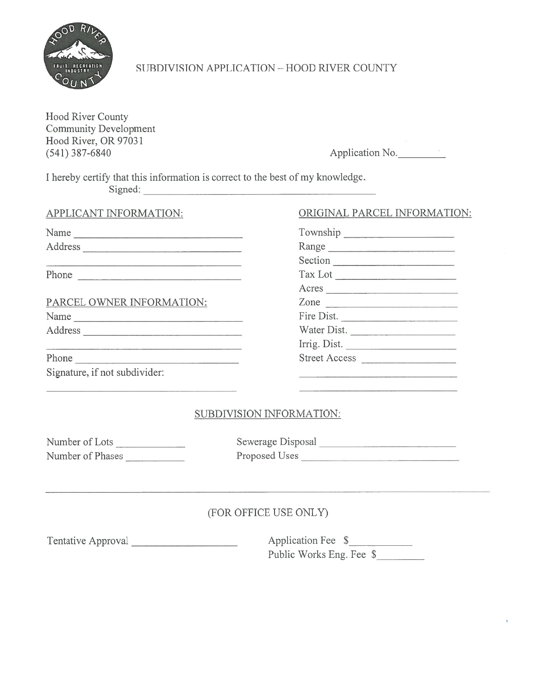

# SUBDIVISION APPLICATION - HOOD RIVER COUNTY

I hereby certify that this information is correct to the best of my knowledge Signed:

### APPLICANT INFORMATION:

| FRUIT RECREATION                                                                                     |          | SUBDIVISION APPLICATION - HOOD RI                                        |
|------------------------------------------------------------------------------------------------------|----------|--------------------------------------------------------------------------|
| <b>Hood River County</b><br><b>Community Development</b><br>Hood River, OR 97031<br>$(541)$ 387-6840 |          |                                                                          |
|                                                                                                      | Signed:  | I hereby certify that this information is correct to the best of my know |
| APPLICANT INFORMATION:                                                                               |          | ORIGIN                                                                   |
|                                                                                                      | Townsh   |                                                                          |
|                                                                                                      |          | Range                                                                    |
|                                                                                                      |          | Section                                                                  |
|                                                                                                      | Phone    | Tax Lot<br>Acres                                                         |
| PARCEL OWNER INFORMATION:                                                                            | Zone     |                                                                          |
|                                                                                                      | Fire Dis |                                                                          |
|                                                                                                      |          | Water I                                                                  |
|                                                                                                      |          | Irrig. D                                                                 |
| Phone                                                                                                | Street A |                                                                          |
| Signature, if not subdivider:                                                                        |          |                                                                          |
|                                                                                                      |          | SUBDIVISION INFORMATIO                                                   |
| Number of Lots<br><b>Contract Contract Contract</b>                                                  |          | Sewerage Disposal                                                        |
| Number of Phases                                                                                     |          | Proposed Uses                                                            |

### Phone

## ORIGINAL PARCEL INFORMATION:

| <b>OOD RIVER COUNTY</b>    |
|----------------------------|
| Application No.            |
| my knowledge.              |
| ORIGINAL PARCEL INFORMATIO |
|                            |
| Range                      |
| Section                    |
| Tax Lot                    |
| Acres                      |
| Zone                       |
| Fire Dist.                 |
| Water Dist.                |
| Irrig. Dist.               |
| Street Access              |
|                            |

### SUBDIVISION INFORMATION:

| Number of Lots   |  |
|------------------|--|
| Number of Phases |  |

## (FOR OFFICE USE ONLY)

Tentative Approval Application Fee \$ Public Works Eng. Fee \$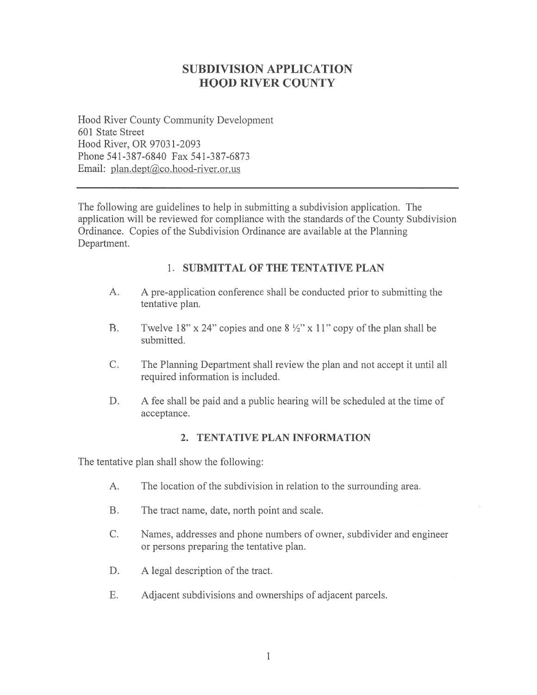# SUBDIVISION APPLICATION HOOD RIVER COUNTY

Hood River County Community Development 601 State Street Hood River, OR 9703 1-2093 Phone 541-387-6840 Fax 541-387-6873 Email: plan.dept@co.hood-river.or.us

The following are guidelines to help in submitting <sup>a</sup> subdivision application. The application will be reviewed for compliance with the standards of the County Subdivision Ordinance. Copies of the Subdivision Ordinance are available at the Planning Department.

### 1. SUBMITTAL OF THE TENTATIVE PLAN

- A. A pre-application conference shall be conducted prior to submitting the tentative plan.
- B. Twelve 18" x 24" copies and one  $8\frac{1}{2}$ " x 11" copy of the plan shall be submitted.
- C. The Planning Department shall review the plan and not accep<sup>t</sup> it until all required information is included.
- D. A fee shall be paid and a public hearing will be scheduled at the time of acceptance.

### 2. TENTATIVE PLAN INFORMATION

The tentative plan shall show the following:

- A. The location of the subdivision in relation to the surrounding area.
- B. The tract name, date, north point and scale.
- C. Names, addresses and phone numbers of owner, subdivider and engineer or persons preparing the tentative plan.
- D. A legal description of the tract.
- F. Adjacent subdivisions and ownerships of adjacent parcels.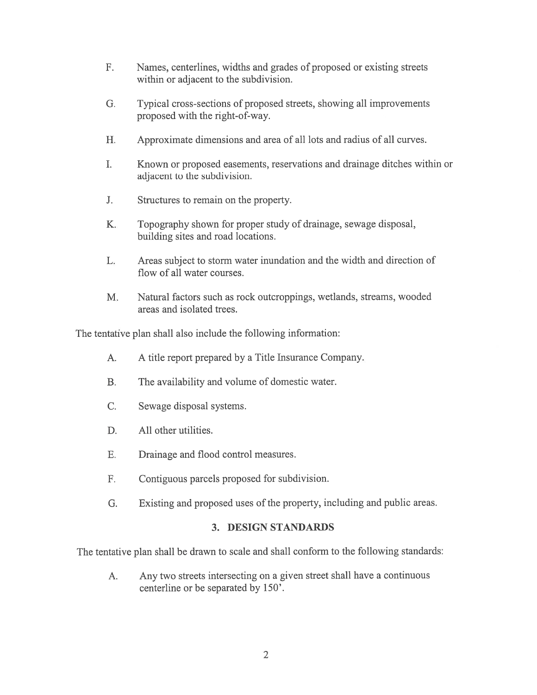- F. Names, centerlines, widths and grades of proposed or existing streets within or adjacent to the subdivision.
- G. Typical cross-sections of proposed streets, showing all improvements proposed with the right-of-way.
- H. Approximate dimensions and area of all lots and radius of all curves.
- I. Known or proposed easements, reservations and drainage ditches within or adjacent to the subdivision.
- J. Structures to remain on the property.
- K. Topography shown for proper study of drainage, sewage disposal, building sites and road locations.
- L. Areas subject to storm water inundation and the width and direction of flow of all water courses.
- M. Natural factors such as rock outcroppings, wetlands, streams, wooded areas and isolated trees.

The tentative plan shall also include the following information:

- A. A title repor<sup>t</sup> prepared by <sup>a</sup> Title Insurance Company.
- B. The availability and volume of domestic water.
- C. Sewage disposal systems.
- D. All other utilities.
- E. Drainage and flood control measures.
- F. Contiguous parcels proposed for subdivision.
- G. Existing and proposed uses of the property, including and public areas.

### 3. DESIGN STANDARDS

The tentative <sup>p</sup>lan shall be drawn to scale and shall conform to the following standards:

A. Any two streets intersecting on <sup>a</sup> <sup>g</sup>iven street shall have <sup>a</sup> continuous centerline or be separated by 150'.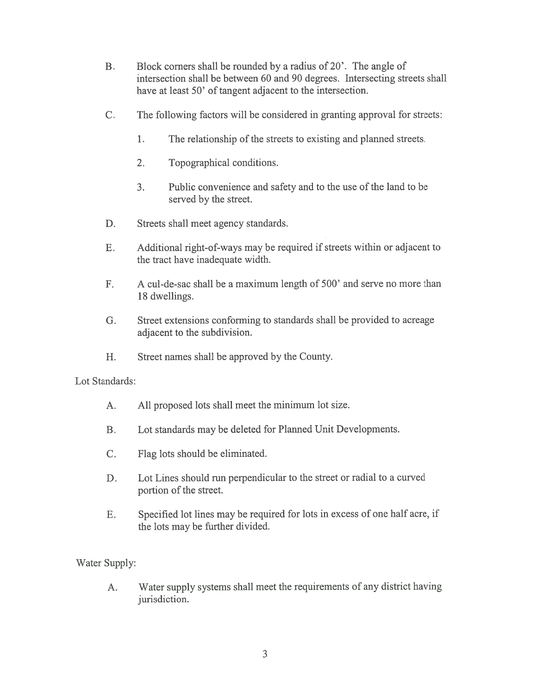- B. Block corners shall be rounded by <sup>a</sup> radius of 20'. The angle of intersection shall be between 60 and 90 degrees. Intersecting streets shall have at least 50' of tangent adjacent to the intersection.
- C. The following factors will be considered in granting approval for streets:
	- 1. The relationship of the streets to existing and planned streets.
	- 2. Topographical conditions.
	- 3. Public convenience and safety and to the use of the land to be served by the street.
- D. Streets shall meet agency standards.
- E. Additional right-of-ways may be required if streets within or adjacent to the tract have inadequate width.
- F. A cul-de-sac shall be <sup>a</sup> maximum length of 500' and serve no more than 18 dwellings.
- G. Street extensions conforming to standards shall be provided to acreage adjacent to the subdivision.
- H. Street names shall be approved by the County.

### Lot Standards:

- A. All proposed lots shall meet the minimum lot size.
- B. Lot standards may be deleted for Planned Unit Developments.
- C. Flag lots should be eliminated.
- D. Lot Lines should run perpendicular to the street or radial to <sup>a</sup> curved portion of the street.
- E. Specified lot lines may be required for lots in excess of one half acre, if the lots may be further divided.

Water Supply:

A. Water supply systems shall meet the requirements of any district having jurisdiction.